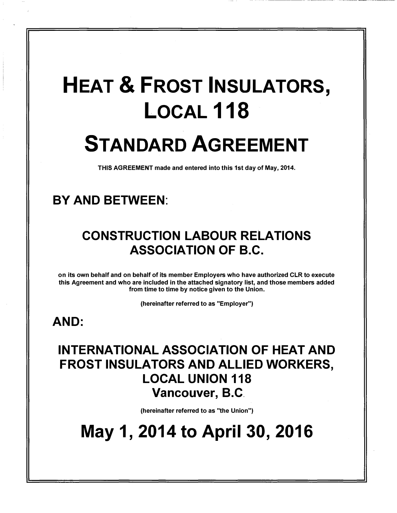# HEAT & FROST INSULATORS, LOCAL<sub>118</sub> STANDARD AGREEMENT

THIS AGREEMENT made and entered into this 1st day of May, 2014.

## BY AND BETWEEN:

## CONSTRUCTION LABOUR RELATIONS ASSOCIATION OF B.C.

on its own behalf and on behalf of its member Employers who have authorized CLR to execute this Agreement and who are included in the attached signatory list, and those members added from time to time by notice given to the Union.

(hereinafter referred to as "Employer")

## AND:

## INTERNATIONAL ASSOCIATION OF HEAT AND FROST INSULATORS AND ALLIED WORKERS, LOCAL UNION 118 Vancouver, B.C.

(hereinafter referred to as "the Union")

May 1, 2014 to April 30, 2016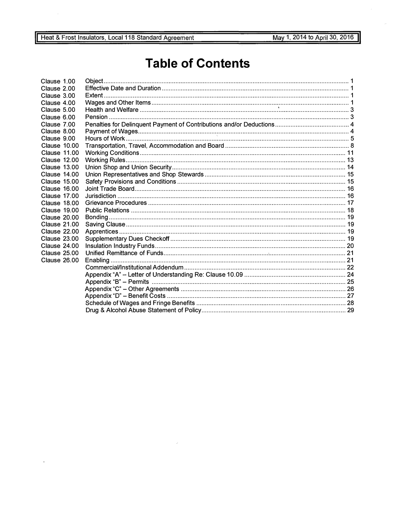## **Table of Contents**

| Clause 1.00         |  |
|---------------------|--|
| Clause 2.00         |  |
| Clause 3.00         |  |
| Clause 4.00         |  |
| Clause 5.00         |  |
| Clause 6.00         |  |
| Clause 7.00         |  |
| Clause 8.00         |  |
| Clause 9.00         |  |
| Clause 10.00        |  |
| Clause 11.00        |  |
| <b>Clause 12.00</b> |  |
| <b>Clause 13.00</b> |  |
| <b>Clause 14.00</b> |  |
| Clause 15.00        |  |
| <b>Clause 16.00</b> |  |
| <b>Clause 17.00</b> |  |
| <b>Clause 18.00</b> |  |
| Clause 19.00        |  |
| <b>Clause 20.00</b> |  |
| <b>Clause 21.00</b> |  |
| <b>Clause 22.00</b> |  |
| <b>Clause 23.00</b> |  |
| <b>Clause 24.00</b> |  |
| <b>Clause 25.00</b> |  |
| <b>Clause 26.00</b> |  |
|                     |  |
|                     |  |
|                     |  |
|                     |  |
|                     |  |
|                     |  |
|                     |  |

 $\hat{\mathcal{L}}$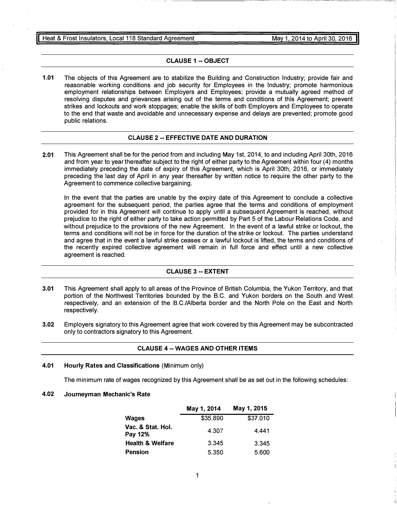#### CLAUSE 1 -- OBJECT

1.01 The objects of this Agreement are to stabilize the Building and Construction Industry; provide fair and reasonable working conditions and job security for Employees in the Industry; promote harmonious employment relationships between Employers and Employees; provide a mutually agreed method of resolving disputes and grievances arising out of the terms and conditions of this Agreement; prevent strikes and lockouts and work stoppages; enable the skills of both Employers and Employees to operate to the end that waste and avoidable and unnecessary expense and delays are prevented; promote good public relations.

#### CLAUSE 2 -- EFFECTIVE DATE AND DURATION

2.01 This Agreement shall be for the period from and including May 1st, 2014, to and including April 30th, 2016 and from year to year thereafter subject to the right of either party to the Agreement within four (4) months immediately preceding the date of expiry of this Agreement, which is April 30th, 2016, or immediately preceding the last day of April in any year thereafter by written notice to require the other party to the Agreement to commence collective bargaining.

In the event that the parties are unable by the expiry date of this Agreement to conclude a collective agreement for the subsequent period, the parties agree that the terms and conditions of employment provided for in this Agreement will continue to apply until a subsequent Agreement is reached, without prejudice to the right of either party to take action permitted by Part 5 of the Labour Relations Code, and without prejudice to the provisions of the new Agreement. In the event of a lawful strike or lockout, the terms and conditions will not be in force for the duration of the strike or lockout. The parties understand and agree that in the event a lawful strike ceases or a lawful lockout is lifted, the terms and conditions of the recently expired collective agreement will remain in full force and effect until a new collective agreement is reached.

#### CLAUSE 3 -- EXTENT

- 3.01 This Agreement shall apply to all areas of the Province of British Columbia, the Yukon Territory, and that portion of the Northwest Territories bounded by the B.C. and Yukon borders on the South and West respectively, and an extension of the B.C./Alberta border and the North Pole on the East and North respectively.
- 3.02 Employers signatory to this Agreement agree that work covered by this Agreement may be subcontracted only to contractors signatory to this Agreement.

#### CLAUSE 4 -- WAGES AND OTHER ITEMS

4.01 Hourly Rates and Classifications (Minimum only)

The minimum rate of wages recognized by this Agreement shall be as set out in the following schedules:

4.02 Journeyman Mechanic's Rate

|                              | May 1, 2014 | May 1, 2015 |
|------------------------------|-------------|-------------|
| Wages                        | \$35.890    | \$37.010    |
| Vac. & Stat. Hol.<br>Pay 12% | 4.307       | 4.441       |
| <b>Health &amp; Welfare</b>  | 3.345       | 3.345       |
| <b>Pension</b>               | 5.350       | 5.600       |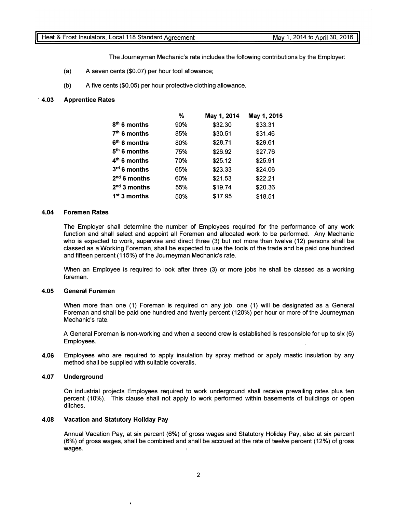The Journeyman Mechanic's rate includes the following contributions by the Employer:

- (a) A seven cents (\$0.07) per hour tool allowance;
- (b) A five cents (\$0.05) per hour protective clothing allowance.

#### . 4.03 Apprentice Rates

|                | ℅   | May 1, 2014 | May 1, 2015 |
|----------------|-----|-------------|-------------|
| $8th$ 6 months | 90% | \$32.30     | \$33.31     |
| $7th$ 6 months | 85% | \$30.51     | \$31.46     |
| $6th$ 6 months | 80% | \$28.71     | \$29.61     |
| $5th$ 6 months | 75% | \$26.92     | \$27.76     |
| $4th$ 6 months | 70% | \$25.12     | \$25.91     |
| $3rd$ 6 months | 65% | \$23.33     | \$24.06     |
| $2nd$ 6 months | 60% | \$21.53     | \$22.21     |
| $2nd$ 3 months | 55% | \$19.74     | \$20.36     |
| $1st$ 3 months | 50% | \$17.95     | \$18.51     |
|                |     |             |             |

#### 4.04 Foremen Rates

The Employer shall determine the number of Employees required for the performance of any work function and shall select and appoint all Foremen and allocated work to be performed. Any Mechanic who is expected to work, supervise and direct three (3) but not more than twelve (12) persons shall be classed as a Working Foreman, shall be expected to use the tools of the trade and be paid one hundred and fifteen percent (115%) of the Journeyman Mechanic's rate.

When an Employee is required to look after three (3) or more jobs he shall be classed as a working foreman.

#### 4.05 General Foremen

When more than one (1) Foreman is required on any job, one (1) will be designated as a General Foreman and shall be paid one hundred and twenty percent (120%) per hour or more of the Journeyman Mechanic's rate.

A General Foreman is non-working and when a second crew is established is responsible for up to six (6) Employees.

4.06 Employees who are required to apply insulation by spray method or apply mastic insulation by any method shall be supplied with suitable coveralls.

#### 4.07 Underground

On industrial projects Employees required to work underground shall receive prevailing rates plus ten percent (10%). This clause shall not apply to work performed within basements of buildings or open ditches.

#### 4.08 Vacation and Statutory Holiday Pay

Ń

Annual Vacation Pay, at six percent (6%) of gross wages and Statutory Holiday Pay, also at six percent (6%) of gross wages, shall be combined and shall be accrued at the rate of twelve percent (12%) of gross wages.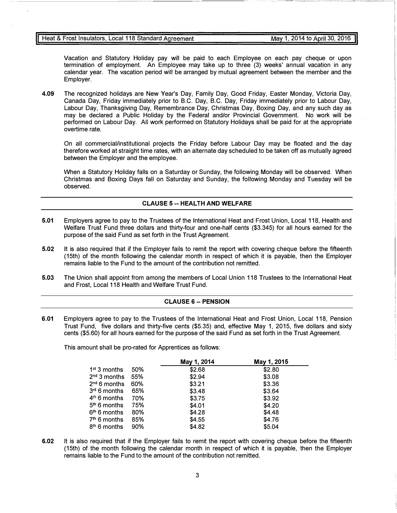Vacation and Statutory Holiday pay will be paid to each Employee on each pay cheque or upon termination of employment. An Employee may take up to three (3) weeks' annual vacation in any calendar year. The vacation period will be arranged by mutual agreement between the member and the Employer.

4.09 The recognized holidays are New Year's Day, Family Day, Good Friday, Easter Monday, Victoria Day, Canada Day, Friday immediately prior to B.C. Day, B.C. Day, Friday immediately prior to Labour Day, Labour Day, Thanksgiving Day, Remembrance Day, Christmas Day, Boxing Day, and any such day as may be declared a Public Holiday by the Federal and/or Provincial Government. No work will be performed on Labour Day. All work performed on Statutory Holidays shall be paid for at the appropriate overtime rate.

On all commercial/institutional projects the Friday before Labour Day may be floated and the day therefore worked at straight time rates, with an alternate day scheduled to be taken off as mutually agreed between the Employer and the employee.

When a Statutory Holiday falls on a Saturday or Sunday, the following Monday will be observed. When Christmas and Boxing Days fall on Saturday and Sunday, the following Monday and Tuesday will be observed.

#### **CLAUSE 5 -- HEALTH AND WELFARE**

- 5.01 Employers agree to pay to the Trustees of the International Heat and Frost Union, Local 118, Health and Welfare Trust Fund three dollars and thirty-four and one-half cents (\$3.345) for all hours earned for the purpose of the said Fund as set forth in the Trust Agreement.
- 5.02 It is also required that if the Employer fails to remit the report with covering cheque before the fifteenth (15th) of the month following the calendar month in respect of which it is payable, then the Employer remains liable to the Fund to the amount of the contribution not remitted.
- 5.03 The Union shall appoint from among the members of Local Union 118 Trustees to the International Heat and Frost, Local 118 Health and Welfare Trust Fund.

#### CLAUSE 6 -- PENSION

6.01 Employers agree to pay to the Trustees of the International Heat and Frost Union, Local 118, Pension Trust Fund, five dollars and thirty-five cents (\$5.35) and, effective May 1, 2015, five dollars and sixty cents (\$5.60) for all hours earned for the purpose of the said Fund as set forth in the Trust Agreement.

This amount shall be pro-rated for Apprentices as follows:

|                          |       | May 1, 2014 | May 1, 2015 |
|--------------------------|-------|-------------|-------------|
| $1st$ 3 months           | 50%   | \$2.68      | \$2.80      |
| 2 <sup>nd</sup> 3 months | - 55% | \$2.94      | \$3.08      |
| 2 <sup>nd</sup> 6 months | 60%   | \$3.21      | \$3.36      |
| 3 <sup>rd</sup> 6 months | 65%   | \$3.48      | \$3.64      |
| 4 <sup>th</sup> 6 months | 70%   | \$3.75      | \$3.92      |
| 5 <sup>th</sup> 6 months | 75%   | \$4.01      | \$4.20      |
| 6 <sup>th</sup> 6 months | 80%   | \$4.28      | \$4.48      |
| 7 <sup>th</sup> 6 months | 85%   | \$4.55      | \$4.76      |
| 8 <sup>th</sup> 6 months | 90%   | \$4.82      | \$5.04      |

6.02 It is also required that if the Employer fails to remit the report with covering cheque before the fifteenth (15th) of the month following the calendar month in respect of which it is payable, then the Employer remains liable to the Fund to the amount of the contribution not remitted.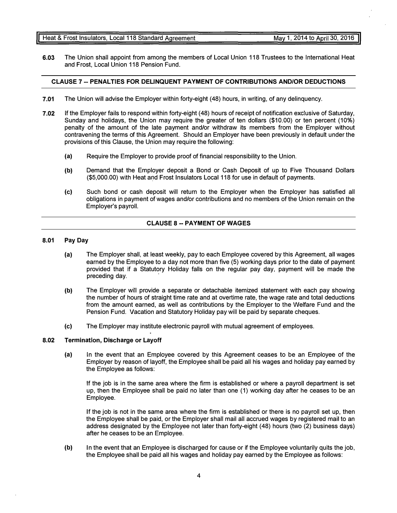- (a) The Employer shall, at least weekly, pay to each Employee covered by this Agreement, all wages earned by the Employee to a day not more than five (5) working days prior to the date of payment provided that if a Statutory Holiday falls on the regular pay day, payment will be made the preceding day.
- {b) The Employer will provide a separate or detachable itemized statement with each pay showing the number of hours of straight time rate and at overtime rate, the wage rate and total deductions from the amount earned, as well as contributions by the Employer to the Welfare Fund and the Pension Fund. Vacation and Statutory Holiday pay will be paid by separate cheques.
- {c) The Employer may institute electronic payroll with mutual agreement of employees.

#### 8.02 Termination, Discharge or Layoff

8.01 Pay Day

{a) In the event that an Employee covered by this Agreement ceases to be an Employee of the Employer by reason of layoff, the Employee shall be paid all his wages and holiday pay earned by the Employee as follows:

If the job is in the same area where the firm is established or where a payroll department is set up, then the Employee shall be paid no later than one (1) working day after he ceases to be an Employee.

If the job is not in the same area where the firm is established or there is no payroll set up, then the Employee shall be paid, or the Employer shall mail all accrued wages by registered mail to an address designated by the Employee not later than forty-eight (48) hours (two (2) business days) after he ceases to be an Employee.

{b) In the event that an Employee is discharged for cause or if the Employee voluntarily quits the job, the Employee shall be paid all his wages and holiday pay earned by the Employee as follows:

#### 4

### CLAUSE 7 -- PENALTIES FOR DELINQUENT PAYMENT OF CONTRIBUTIONS AND/OR DEDUCTIONS

6.03 The Union shall appoint from among the members of Local Union 118 Trustees to the International Heat

- 7.01 The Union will advise the Employer within forty-eight (48) hours, in writing, of any delinquency.
- 7.02 If the Employer fails to respond within forty-eight (48) hours of receipt of notification exclusive of Saturday, Sunday and holidays, the Union may require the greater of ten dollars (\$10.00) or ten percent (10%) penalty of the amount of the late payment and/or withdraw its members from the Employer without contravening the terms of this Agreement. Should an Employer have been previously in default under the provisions of this Clause, the Union may require the following:
	- {a) Require the Employer to provide proof of financial responsibility to the Union.
	- {b) Demand that the Employer deposit a Bond or Cash Deposit of up to Five Thousand Dollars (\$5,000.00) with Heat and Frost Insulators Local 118 for use in default of payments.
	- {c) Such bond or cash deposit will return to the Employer when the Employer has satisfied all obligations in payment of wages and/or contributions and no members of the Union remain on the Employer's payroll.

CLAUSE 8 -- PAYMENT OF WAGES

and Frost, Local Union 118 Pension Fund.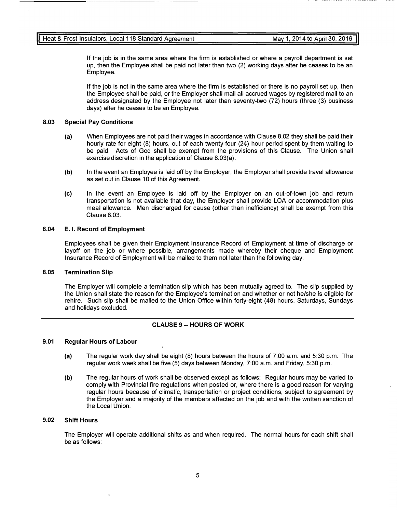If the job is in the same area where the firm is established or where a payroll department is set up, then the Employee shall be paid not later than two (2) working days after he ceases to be an Employee.

If the job is not in the same area where the firm is established or there is no payroll set up, then the Employee shall be paid, or the Employer shall mail all accrued wages by registered mail to an address designated by the Employee not later than seventy-two (72) hours (three (3) business days) after he ceases to be an Employee.

#### 8.03 Special Pay Conditions

- (a) When Employees are not paid their wages in accordance with Clause 8.02 they shall be paid their hourly rate for eight (8) hours, out of each twenty-four (24) hour period spent by them waiting to be paid. Acts of God shall be exempt from the provisions of this Clause. The Union shall exercise discretion in the application of Clause 8.03(a).
- (b) In the event an Employee is laid off by the Employer, the Employer shall provide travel allowance as set out in Clause 10 of this Agreement.
- (c) In the event an Employee is laid off by the Employer on an out-of-town job and return transportation is not available that day, the Employer shall provide LOA or accommodation plus meal allowance. Men discharged for cause (other than inefficiency) shall be exempt from this Clause 8.03.

#### 8.04 E. I. Record of Employment

Employees shall be given their Employment Insurance Record of Employment at time of discharge or layoff on the job or where possible, arrangements made whereby their cheque and Employment Insurance Record of Employment will be mailed to them not later than the following day.

#### 8.05 Termination Slip

The Employer will complete a termination slip which has been mutually agreed to. The slip supplied by the Union shall state the reason for the Employee's termination and whether or not he/she is eligible for rehire. Such slip shall be mailed to the Union Office within forty-eight (48) hours, Saturdays, Sundays and holidays excluded.

#### CLAUSE 9 -- HOURS OF WORK

#### 9.01 Regular Hours of Labour

- (a) The regular work day shall be eight (8) hours between the hours of 7:00 a.m. and 5:30 p.m. The regular work week shall be five (5) days between Monday, 7:00 a.m. and Friday, 5:30 p.m.
- (b) The regular hours of work shall be observed except as follows: Regular hours may be varied to comply with Provincial fire regulations when posted or, where there is a good reason for varying regular hours because of climatic, transportation or project conditions, subject to agreement by the Employer and a majority of the members affected on the job and with the written sanction of the Local Union.

#### 9.02 Shift Hours

The Employer will operate additional shifts as and when required. The normal hours for each shift shall be as follows: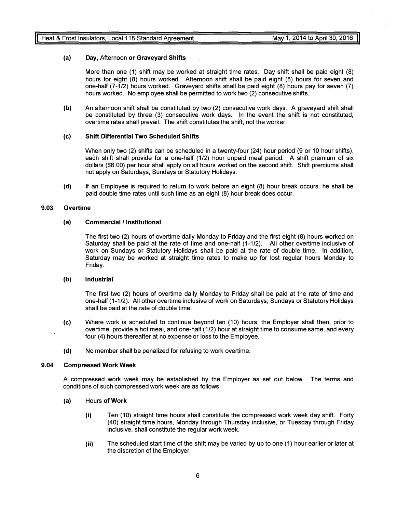#### (a) Day, Afternoon or Graveyard Shifts

More than one (1) shift may be worked at straight time rates. Day shift shall be paid eight (8) hours for eight (8) hours worked. Afternoon shift shall be paid eight (8) hours for seven and one-half (7-1/2) hours worked. Graveyard shifts shall be paid eight (8) hours pay for seven (7) hours worked. No employee shall be permitted to work two (2) consecutive shifts.

(b) An afternoon shift shall be constituted by two (2) consecutive work days. A graveyard shift shall be constituted by three (3) consecutive work days. In the event the shift is not constituted, overtime rates shall prevail. The shift constitutes the shift, not the worker.

#### (c) Shift Differential Two Scheduled Shifts

When only two (2) shifts can be scheduled in a twenty-four (24) hour period (9 or 10 hour shifts), each shift shall provide for a one-half (1/2) hour unpaid meal period. A shift premium of six dollars (\$6.00) per hour shall apply on all hours worked on the second shift. Shift premiums shall not apply on Saturdays, Sundays or Statutory Holidays.

(d) If an Employee is required to return to work before an eight (8) hour break occurs, he shall be paid double time rates until such time as an eight (8) hour break does occur.

#### 9.03 Overtime

#### (a) Commercial /Institutional

The first two (2) hours of overtime daily Monday to Friday and the first eight (8) hours worked on Saturday shall be paid at the rate of time and one-half (1-1/2). All other overtime inclusive of work on Sundays or Statutory Holidays shall be paid at the rate of double time. In addition, Saturday may be worked at straight time rates to make up for lost regular hours Monday to Friday.

#### (b) Industrial

The first two (2) hours of overtime daily Monday to Friday shall be paid at the rate of time and one-half (1-1/2). All other overtime inclusive of work on Saturdays, Sundays or Statutory Holidays shall be paid at the rate of double time.

- (c) Where work is scheduled to continue beyond ten (10) hours, the Employer shall then, prior to overtime, provide a hot meal, and one-half (1/2) hour at straight time to consume same, and every four (4) hours thereafter at no expense or loss to the Employee.
- (d) No member shall be penalized for refusing to work overtime.

#### 9.04 Compressed Work Week

A compressed work week may be established by the Employer as set out below. The terms and conditions of such compressed work week are as follows:

- (a) Hours of Work
	- (i) Ten (10) straight time hours shall constitute the compressed work week day shift. Forty (40) straight time hours, Monday through Thursday inclusive, or Tuesday through Friday inclusive, shall constitute the regular work week.
	- (ii) The scheduled start time of the shift may be varied by up to one (1) hour earlier or later at the discretion of the Employer.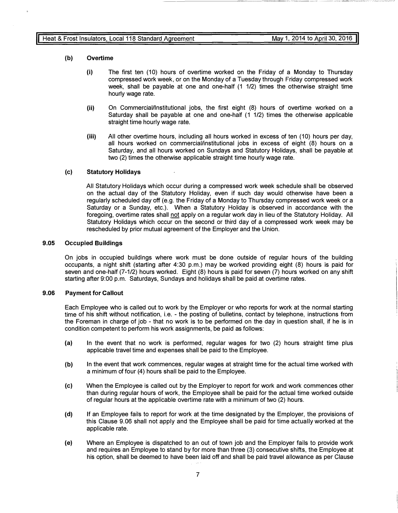---------------�---- - --��---------�

#### (b) Overtime

- (i) The first ten (10) hours of overtime worked on the Friday of a Monday to Thursday compressed work week, or on the Monday of a Tuesday through Friday compressed work week, shall be payable at one and one-half (1 1/2) times the otherwise straight time hourly wage rate.
- (ii) On Commercial/Institutional jobs, the first eight (8) hours of overtime worked on a Saturday shall be payable at one and one-half (1 1/2) times the otherwise applicable straight time hourly wage rate.
- (iii) All other overtime hours, including all hours worked in excess of ten (10) hours per day, all hours worked on commercial/institutional jobs in excess of eight (8) hours on a Saturday, and all hours worked on Sundays and Statutory Holidays, shall be payable at two (2) times the otherwise applicable straight time hourly wage rate.

#### (c) Statutory Holidays

All Statutory Holidays which occur during a compressed work week schedule shall be observed on the actual day of the Statutory Holiday, even if such day would otherwise have been a regularly scheduled day off (e.g. the Friday of a Monday to Thursday compressed work week or a Saturday or a Sunday, etc.). When a Statutory Holiday is observed in accordance with the foregoing, overtime rates shall not apply on a regular work day in lieu of the Statutory Holiday. All Statutory Holidays which occur on the second or third day of a compressed work week may be rescheduled by prior mutual agreement of the Employer and the Union.

#### 9.05 Occupied Buildings

On jobs in occupied buildings where work must be done outside of regular hours of the building occupants, a night shift (starting after 4:30 p.m.) may be worked providing eight (8) hours is paid for seven and one-half (7-1/2) hours worked. Eight (8) hours is paid for seven (7) hours worked on any shift starting after 9:00 p.m. Saturdays, Sundays and holidays shall be paid at overtime rates.

#### 9.06 Payment for Callout

Each Employee who is called out to work by the Employer or who reports for work at the normal starting time of his shift without notification, i.e. - the posting of bulletins, contact by telephone, instructions from the Foreman in charge of job - that no work is to be performed on the day in question shall, if he is in condition competent to perform his work assignments, be paid as follows:

- (a) In the event that no work is performed, regular wages for two (2) hours straight time plus applicable travel time and expenses shall be paid to the Employee.
- (b) In the event that work commences, regular wages at straight time for the actual time worked with a minimum of four (4) hours shall be paid to the Employee.
- (c) When the Employee is called out by the Employer to report for work and work commences other than during regular hours of work, the Employee shall be paid for the actual time worked outside of regular hours at the applicable overtime rate with a minimum of two (2) hours.
- (d) If an Employee fails to report for work at the time designated by the Employer, the provisions of this Clause 9.06 shall not apply and the Employee shall be paid for time actually worked at the applicable rate.
- (e) Where an Employee is dispatched to an out of town job and the Employer fails to provide work and requires an Employee to stand by for more than three (3) consecutive shifts, the Employee at his option, shall be deemed to have been laid off and shall be paid travel allowance as per Clause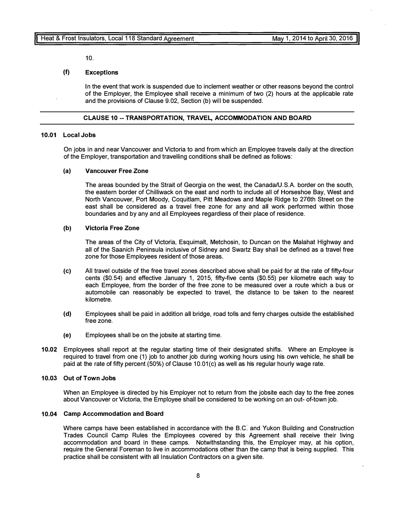10.

#### (f) Exceptions

In the event that work is suspended due to inclement weather or other reasons beyond the control of the Employer, the Employee shall receive a minimum of two (2) hours at the applicable rate and the provisions of Clause 9.02, Section (b) will be suspended.

#### CLAUSE 10 --TRANSPORTATION, TRAVEL, ACCOMMODATION AND BOARD

#### 10.01 Local Jobs

On jobs in and near Vancouver and Victoria to and from which an Employee travels daily at the direction of the Employer, transportation and travelling conditions shall be defined as follows:

#### (a) Vancouver Free Zone

The areas bounded by the Strait of Georgia on the west, the Canada/U.S.A. border on the south, the eastern border of Chilliwack on the east and north to include all of Horseshoe Bay, West and North Vancouver, Port Moody, Coquitlam, Pitt Meadows and Maple Ridge to 276th Street on the east shall be considered as a travel free zone for any and all work performed within those boundaries and by any and all Employees regardless of their place of residence.

#### (b) Victoria Free Zone

The areas of the City of Victoria, Esquimalt, Metchosin, to Duncan on the Malahat Highway and all of the Saanich Peninsula inclusive of Sidney and Swartz Bay shall be defined as a travel free zone for those Employees resident of those areas.

- (c) All travel outside of the free travel zones described above shall be paid for at the rate of fifty-four cents (\$0.54) and effective January 1, 2015, fifty-five cents (\$0.55) per kilometre each way to each Employee, from the border of the free zone to be measured over a route which a bus or automobile can reasonably be expected to travel, the distance to be taken to the nearest kilometre.
- (d) Employees shall be paid in addition all bridge, road tolls and ferry charges outside the established free zone.
- (e) Employees shall be on the jobsite at starting time.
- 10.02 Employees shall report at the regular starting time of their designated shifts. Where an Employee is required to travel from one (1) job to another job during working hours using his own vehicle, he shall be paid at the rate of fifty percent (50%) of Clause 10.01(c) as well as his regular hourly wage rate.

#### 10.03 Out of Town Jobs

When an Employee is directed by his Employer not to return from the jobsite each day to the free zones about Vancouver or Victoria, the Employee shall be considered to be working on an out- of-town job.

#### 10.04 Camp Accommodation and Board

Where camps have been established in accordance with the B.C. and Yukon Building and Construction Trades Council Camp Rules the Employees covered by this Agreement shall receive their living accommodation and board in these camps. Notwithstanding this, the Employer may, at his option, require the General Foreman to live in accommodations other than the camp that is being supplied. This practice shall be consistent with all Insulation Contractors on a given site.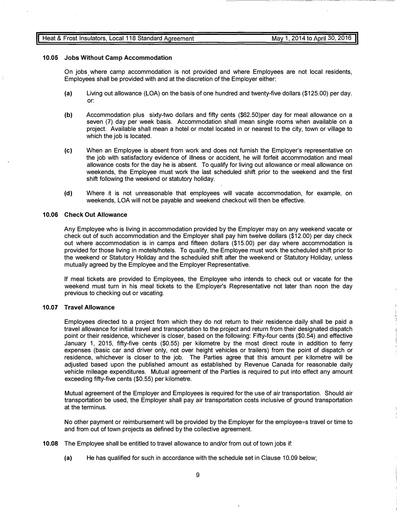#### Heat & Frost Insulators, Local 118 Standard Agreement

---------- --- --�-���--�---- ------------- --------------

#### 10.05 Jobs Without Camp Accommodation

On jobs where camp accommodation is not provided and where Employees are not local residents, Employees shall be provided with and at the discretion of the Employer either:

- (a) Living out allowance (LOA) on the basis of one hundred and twenty-five dollars (\$125.00) per day. or:
- (b) Accommodation plus sixty-two dollars and fifty cents (\$62.50)per day for meal allowance on a seven (7) day per week basis. Accommodation shall mean single rooms when available on a project. Available shall mean a hotel or motel located in or nearest to the city, town or village to which the job is located.
- (c) When an Employee is absent from work and does not furnish the Employer's representative on the job with satisfactory evidence of illness or accident, he will forfeit accommodation and meal allowance costs for the day he is absent. To qualify for living out allowance or meal allowance on weekends, the Employee must work the last scheduled shift prior to the weekend and the first shift following the weekend or statutory holiday.
- (d) Where it is not unreasonable that employees will vacate accommodation, for example, on weekends, LOA will not be payable and weekend checkout will then be effective.

#### 10.06 Check Out Allowance

Any Employee who is living in accommodation provided by the Employer may on any weekend vacate or check out of such accommodation and the Employer shall pay him twelve dollars (\$12.00) per day check out where accommodation is in camps and fifteen dollars (\$15.00) per day where accommodation is provided for those living in motels/hotels. To qualify, the Employee must work the scheduled shift prior to the weekend or Statutory Holiday and the scheduled shift after the weekend or Statutory Holiday, unless mutually agreed by the Employee and the Employer Representative.

If meal tickets are provided to Employees, the Employee who intends to check out or vacate for the weekend must turn in his meal tickets to the Employer's Representative not later than noon the day previous to checking out or vacating.

#### 10.07 Travel Allowance

Employees directed to a project from which they do not return to their residence daily shall be paid a travel allowance for initial travel and transportation to the project and return from their designated dispatch point or their residence, whichever is closer, based on the following: Fifty-four cents (\$0.54) and effective January 1, 2015, fifty-five cents (\$0.55) per kilometre by the most direct route in addition to ferry expenses (basic car and driver only, not over height vehicles or trailers) from the point of dispatch or residence, whichever is closer to the job. The Parties agree that this amount per kilometre will be adjusted based upon the published amount as established by Revenue Canada for reasonable daily vehicle mileage expenditures. Mutual agreement of the Parties is required to put into effect any amount exceeding fifty-five cents (\$0.55) per kilometre.

Mutual agreement of the Employer and Employees is required for the use of air transportation. Should air transportation be used, the Employer shall pay air transportation costs inclusive of ground transportation at the terminus.

No other payment or reimbursement will be provided by the Employer for the employee=s travel or time to and from out of town projects as defined by the collective agreement.

 $\mathbf{A}$ 

- 10.08 The Employee shall be entitled to travel allowance to and/or from out of town jobs if:
	- (a) He has qualified for such in accordance with the schedule set in Clause 10.09 below;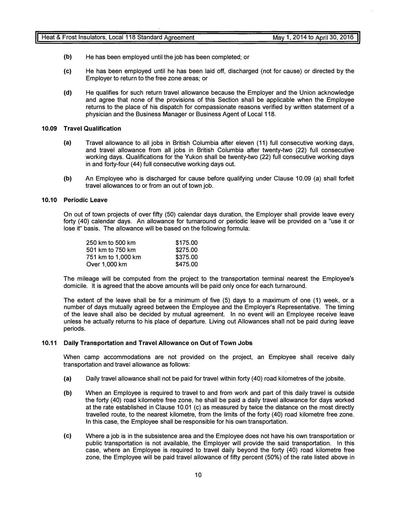- (b) He has been employed until the job has been completed; or
- (c) He has been employed until he has been laid off, discharged (not for cause) or directed by the Employer to return to the free zone areas; or
- (d) He qualifies for such return travel allowance because the Employer and the Union acknowledge and agree that none of the provisions of this Section shall be applicable when the Employee returns to the place of his dispatch for compassionate reasons verified by written statement of a physician and the Business Manager or Business Agent of Local 118.

#### 10.09 Travel Qualification

- (a) Travel allowance to all jobs in British Columbia after eleven (11) full consecutive working days, and travel allowance from all jobs in British Columbia after twenty-two (22) full consecutive working days. Qualifications for the Yukon shall be twenty-two (22) full consecutive working days in and forty-four (44) full consecutive working days out.
- (b) An Employee who is discharged for cause before qualifying under Clause 10.09 (a) shall forfeit travel allowances to or from an out of town job.

#### 10.10 Periodic Leave

On out of town projects of over fifty (50) calendar days duration, the Employer shall provide leave every forty (40) calendar days. An allowance for turnaround or periodic leave will be provided on a "use it or lose it" basis. The allowance will be based on the following formula:

| 250 km to 500 km   | \$175.00 |
|--------------------|----------|
| 501 km to 750 km   | \$275.00 |
| 751 km to 1,000 km | \$375.00 |
| Over 1,000 km      | \$475.00 |

The mileage will be computed from the project to the transportation terminal nearest the Employee's domicile. It is agreed that the above amounts will be paid only once for each turnaround.

The extent of the leave shall be for a minimum of five (5) days to a maximum of one (1) week, or a number of days mutually agreed between the Employee and the Employer's Representative. The timing of the leave shall also be decided by mutual agreement. In no event will an Employee receive leave unless he actually returns to his place of departure. Living out Allowances shall not be paid during leave periods.

#### 10.11 Daily Transportation and Travel Allowance on Out of Town Jobs

When camp accommodations are not provided on the project, an Employee shall receive daily transportation and travel allowance as follows:

- (a) Daily travel allowance shall not be paid for travel within forty (40) road kilometres of the jobsite.
- (b) When an Employee is required to travel to and from work and part of this daily travel is outside the forty (40) road kilometre free zone, he shall be paid a daily travel allowance for days worked at the rate established in Clause 10.01 (c) as measured by twice the distance on the most directly travelled route, to the nearest kilometre, from the limits of the forty (40) road kilometre free zone. In this case, the Employee shall be responsible for his own transportation.
- (c) Where a job is in the subsistence area and the Employee does not have his own transportation or public transportation is not available, the Employer will provide the said transportation. In this case, where an Employee is required to travel daily beyond the forty (40) road kilometre free zone, the Employee will be paid travel allowance of fifty percent (50%) of the rate listed above in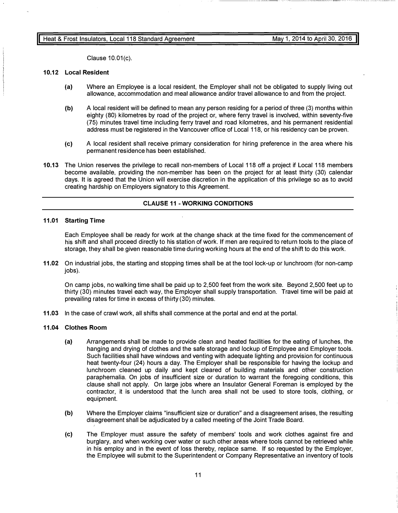Clause 10.01(c).

#### 10.12 Local Resident

- (a) Where an Employee is a local resident, the Employer shall not be obligated to supply living out allowance, accommodation and meal allowance and/or travel allowance to and from the project.
- (b) A local resident will be defined to mean any person residing for a period of three (3) months within eighty (80) kilometres by road of the project or, where ferry travel is involved, within seventy-five (75) minutes travel time including ferry travel and road kilometres, and his permanent residential address must be registered in the Vancouver office of Local 118, or his residency can be proven.
- (c) A local resident shall receive primary consideration for hiring preference in the area where his permanent residence has been established.
- 10.13 The Union reserves the privilege to recall non-members of Local 118 off a project if Local 118 members become available, providing the non-member has been on the project for at least thirty (30) calendar days. It is agreed that the Union will exercise discretion in the application of this privilege so as to avoid creating hardship on Employers signatory to this Agreement.

#### CLAUSE 11 - WORKING CONDITIONS

#### 11.01 Starting Time

Each Employee shall be ready for work at the change shack at the time fixed for the commencement of his shift and shall proceed directly to his station of work. If men are required to return tools to the place of storage, they shall be given reasonable time during working hours at the end of the shift to do this work.

11.02 On industrial jobs, the starting and stopping times shall be at the tool lock-up or lunchroom (for non-camp jobs).

On camp jobs, no walking time shall be paid up to 2,500 feet from the work site. Beyond 2,500 feet up to thirty (30) minutes travel each way, the Employer shall supply transportation. Travel time will be paid at prevailing rates for time in excess of thirty (30) minutes.

11.03 In the case of crawl work, all shifts shall commence at the portal and end at the portal.

#### 11.04 Clothes Room

(

- (a) Arrangements shall be made to provide clean and heated facilities for the eating of lunches, the hanging and drying of clothes and the safe storage and lockup of Employee and Employer tools. Such facilities shall have windows and venting with adequate lighting and provision for continuous heat twenty-four (24) hours a day. The Employer shall be responsible for having the lockup and lunchroom cleaned up daily and kept cleared of building materials and other construction paraphernalia. On jobs of insufficient size or duration to warrant the foregoing conditions, this clause shall not apply. On large jobs where an Insulator General Foreman is employed by the contractor, it is understood that the lunch area shall not be used to store tools, clothing, or equipment.
- (b) Where the Employer claims "insufficient size or duration" and a disagreement arises, the resulting disagreement shall be adjudicated by a called meeting of the Joint Trade Board.
- (c) The Employer must assure the safety of members' tools and work clothes against fire and burglary, and when working over water or such other areas where tools cannot be retrieved while in his employ and in the event of loss thereby, replace same. If so requested by the Employer, the Employee will submit to the Superintendent or Company Representative an inventory of tools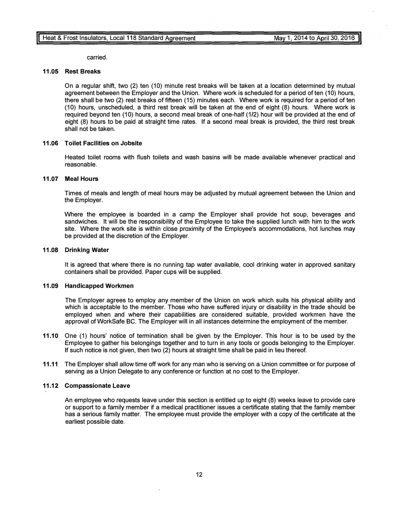carried.

#### 11.05 Rest Breaks

On a regular shift, two (2) ten (10) minute rest breaks will be taken at a location determined by mutual agreement between the Employer and the Union. Where work is scheduled for a period of ten (10) hours, there shall be two (2) rest breaks of fifteen (15) minutes each. Where work is required for a period of ten (10) hours, unscheduled, a third rest break will be taken at the end of eight (8) hours. Where work is required beyond ten (10) hours, a second meal break of one-half (1/2) hour will be provided at the end of eight (8) hours to be paid at straight time rates. If a second meal break is provided, the third rest break shall not be taken.

#### 11.06 Toilet Facilities on Jobsite

Heated toilet rooms with flush toilets and wash basins will be made available whenever practical and reasonable.

#### 11.07 Meal Hours

Times of meals and length of meal hours may be adjusted by mutual agreement between the Union and the Employer.

Where the employee is boarded in a camp the Employer shall provide hot soup, beverages and sandwiches. It will be the responsibility of the Employee to take the supplied lunch with him to the work site. Where the work site is within close proximity of the Employee's accommodations, hot lunches may be provided at the discretion of the Employer.

#### 11.08 Drinking Water

It is agreed that where there is no running tap water available, cool drinking water in approved sanitary containers shall be provided. Paper cups will be supplied.

#### 11.09 Handicapped Workmen

The Employer agrees to employ any member of the Union on work which suits his physical ability and which is acceptable to the member. Those who have suffered injury or disability in the trade should be employed when and where their capabilities are considered suitable, provided workmen have the approval of WorkSafe BC. The Employer will in all instances determine the employment of the member.

- 11.10 One (1) hours' notice of termination shall be given by the Employer. This hour is to be used by the Employee to gather his belongings together and to turn in any tools or goods belonging to the Employer. If such notice is not given, then two (2) hours at straight time shall be paid in lieu thereof.
- 11.11 The Employer shall allow time off work for any man who is serving on a Union committee or for purpose of serving as a Union Delegate to any conference or function at no cost to the Employer.

#### 11.12 Compassionate Leave

An employee who requests leave under this section is entitled up to eight (8) weeks leave to provide care or support to a family member if a medical practitioner issues a certificate stating that the family member has a serious family matter. The employee must provide the employer with a copy of the certificate at the earliest possible date.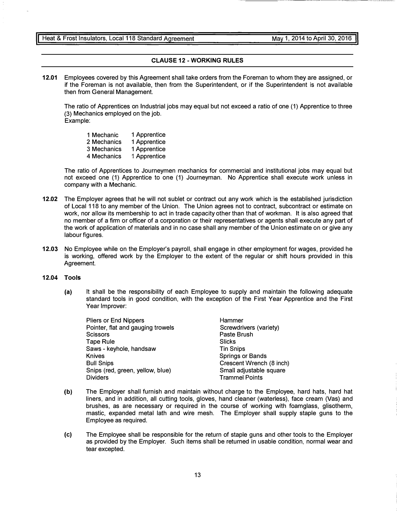#### CLAUSE 12 -WORKING RULES

12.01 Employees covered by this Agreement shall take orders from the Foreman to whom they are assigned, or if the Foreman is not available, then from the Superintendent, or if the Superintendent is not available then from General Management.

The ratio of Apprentices on Industrial jobs may equal but not exceed a ratio of one (1) Apprentice to three (3) Mechanics employed on the job. Example:

Mechanic Mechanics Mechanics Mechanics Apprentice Apprentice Apprentice Apprentice

The ratio of Apprentices to Journeymen mechanics for commercial and institutional jobs may equal but not exceed one (1) Apprentice to one (1) Journeyman. No Apprentice shall execute work unless in company with a Mechanic.

- 12.02 The Employer agrees that he will not sublet or contract out any work which is the established jurisdiction of Local 118 to any member of the Union. The Union agrees not to contract, subcontract or estimate on work, nor allow its membership to act in trade capacity other than that of workman. It is also agreed that no member of a firm or officer of a corporation or their representatives or agents shall execute any part of the work of application of materials and in no case shall any member of the Union estimate on or give any labour figures.
- 12.03 No Employee while on the Employer's payroll, shall engage in other employment for wages, provided he is working, offered work by the Employer to the extent of the regular or shift hours provided in this Agreement.

#### 12.04 Tools

(a) It shall be the responsibility of each Employee to supply and maintain the following adequate standard tools in good condition, with the exception of the First Year Apprentice and the First Year Improver:

| <b>Pliers or End Nippers</b>      | Hammer                   |
|-----------------------------------|--------------------------|
| Pointer, flat and gauging trowels | Screwdrivers (variety)   |
| <b>Scissors</b>                   | Paste Brush              |
| <b>Tape Rule</b>                  | Slicks                   |
| Saws - keyhole, handsaw           | <b>Tin Snips</b>         |
| <b>Knives</b>                     | <b>Springs or Bands</b>  |
| <b>Bull Snips</b>                 | Crescent Wrench (8 inch) |
| Snips (red, green, yellow, blue)  | Small adjustable square  |
| <b>Dividers</b>                   | <b>Trammel Points</b>    |

- (b) The Employer shall furnish and maintain without charge to the Employee, hard hats, hard hat liners, and in addition, all cutting tools, gloves, hand cleaner (waterless), face cream (Vas) and brushes, as are necessary or required in the course of working with foamglass, glisotherm, mastic, expanded metal lath and wire mesh. The Employer shall supply staple guns to the Employee as required.
- (c) The Employee shall be responsible for the return of staple guns and other tools to the Employer as provided by the Employer. Such items shall be returned in usable condition, normal wear and tear excepted.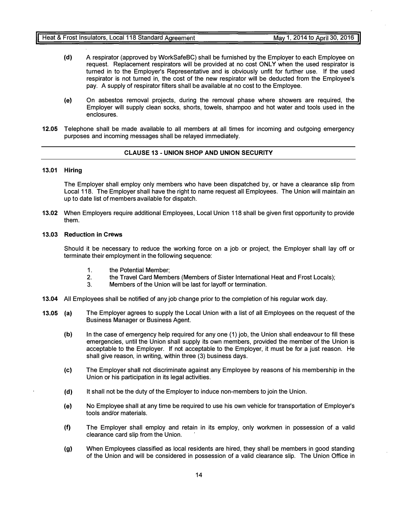- (d) A respirator (approved by WorkSafeBC) shall be furnished by the Employer to each Employee on request. Replacement respirators will be provided at no cost ONLY when the used respirator is turned in to the Employer's Representative and is obviously unfit for further use. If the used respirator is not turned in, the cost of the new respirator will be deducted from the Employee's pay. A supply of respirator filters shall be available at no cost to the Employee.
- (e) On asbestos removal projects, during the removal phase where showers are required, the Employer will supply clean socks, shorts, towels, shampoo and hot water and tools used in the enclosures.
- 12.05 Telephone shall be made available to all members at all times for incoming and outgoing emergency purposes and incoming messages shall be relayed immediately.

#### CLAUSE 13 - UNION SHOP AND UNION SECURITY

#### 13.01 Hiring

The Employer shall employ only members who have been dispatched by, or have a clearance slip from Local 118. The Employer shall have the right to name request all Employees. The Union will maintain an up to date list of members available for dispatch.

13.02 When Employers require additional Employees, Local Union 118 shall be given first opportunity to provide them.

#### 13.03 Reduction in Crews

Should it be necessary to reduce the working force on a job or project, the Employer shall lay off or terminate their employment in the following sequence:

- 1. the Potential Member;
- 2. the Travel Card Members (Members of Sister International Heat and Frost Locals);<br>3. Members of the Union will be last for lavoff or termination
- Members of the Union will be last for layoff or termination.
- 13.04 All Employees shall be notified of any job change prior to the completion of his regular work day.
- 13.05 (a) The Employer agrees to supply the Local Union with a list of all Employees on the request of the Business Manager or Business Agent.
	- (b) In the case of emergency help required for any one (1) job, the Union shall endeavour to fill these emergencies, until the Union shall supply its own members, provided the member of the Union is acceptable to the Employer. If not acceptable to the Employer, it must be for a just reason. He shall give reason, in writing, within three (3) business days.
	- (c) The Employer shall not discriminate against any Employee by reasons of his membership in the Union or his participation in its legal activities.
	- (d) It shall not be the duty of the Employer to induce non-members to join the Union.
	- (e) No Employee shall at any time be required to use his own vehicle for transportation of Employer's tools and/or materials.
	- (f) The Employer shall employ and retain in its employ, only workmen in possession of a valid clearance card slip from the Union.
	- (g) When Employees classified as local residents are hired, they shall be members in good standing of the Union and will be considered in possession of a valid clearance slip. The Union Office in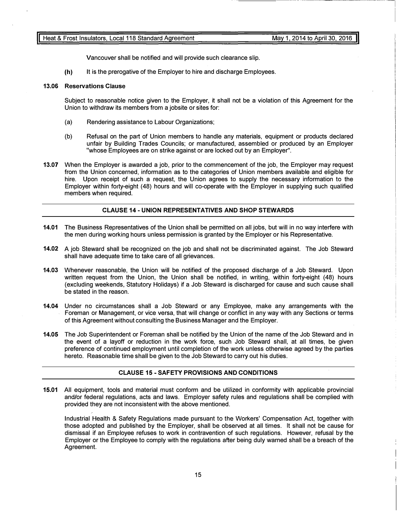Vancouver shall be notified and will provide such clearance slip.

(h) It is the prerogative of the Employer to hire and discharge Employees.

#### 13.06 Reservations Clause

Subject to reasonable notice given to the Employer, it shall not be a violation of this Agreement for the Union to withdraw its members from a jobsite or sites for:

- (a) Rendering assistance to Labour Organizations;
- (b) Refusal on the part of Union members to handle any materials, equipment or products declared unfair by Building Trades Councils; or manufactured, assembled or produced by an Employer "whose Employees are on strike against or are locked out by an Employer".
- 13.07 When the Employer is awarded a job, prior to the commencement of the job, the Employer may request from the Union concerned, information as to the categories of Union members available and eligible for hire. Upon receipt of such a request, the Union agrees to supply the necessary information to the Employer within forty-eight (48) hours and will co-operate with the Employer in supplying such qualified members when required.

#### CLAUSE 14 - UNION REPRESENTATIVES AND SHOP STEWARDS

- 14.01 The Business Representatives of the Union shall be permitted on all jobs, but will in no way interfere with the men during working hours unless permission is granted by the Employer or his Representative.
- 14.02 A job Steward shall be recognized on the job and shall not be discriminated against. The Job Steward shall have adequate time to take care of all grievances.
- 14.03 Whenever reasonable, the Union will be notified of the proposed discharge of a Job Steward. Upon written request from the Union, the Union shall be notified, in writing, within forty-eight (48) hours (excluding weekends, Statutory Holidays) if a Job Steward is discharged for cause and such cause shall be stated in the reason.
- 14.04 Under no circumstances shall a Job Steward or any Employee, make any arrangements with the Foreman or Management, or vice versa, that will change or conflict in any way with any Sections or terms of this Agreement without consulting the Business Manager and the Employer.
- 14.05 The Job Superintendent or Foreman shall be notified by the Union of the name of the Job Steward and in the event of a layoff or reduction in the work force, such Job Steward shall, at all times, be given preference of continued employment until completion of the work unless otherwise agreed by the parties hereto. Reasonable time shall be given to the Job Steward to carry out his duties.

#### CLAUSE 15 - SAFETY PROVISIONS AND CONDITIONS

15.01 All equipment, tools and material must conform and be utilized in conformity with applicable provincial and/or federal regulations, acts and laws. Employer safety rules and regulations shall be complied with provided they are not inconsistent with the above mentioned.

Industrial Health & Safety Regulations made pursuant to the Workers' Compensation Act, together with those adopted and published by the Employer, shall be observed at all times. It shall not be cause for dismissal if an Employee refuses to work in contravention of such regulations. However, refusal by the Employer or the Employee to comply with the regulations after being duly warned shall be a breach of the Agreement.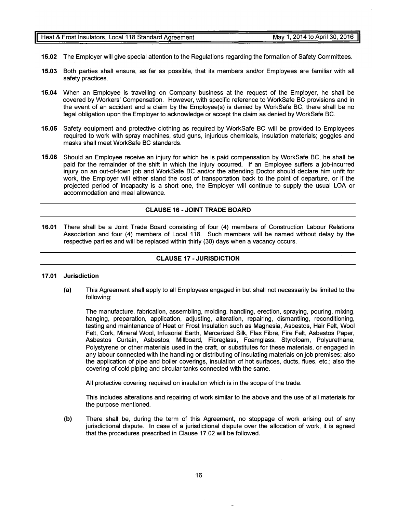projected period of incapacity is a short one, the Employer will continue to supply the usual LOA or accommodation and meal allowance.

masks shall meet WorkSafe BC standards.

#### CLAUSE 16 - JOINT TRADE BOARD

15.02 The Employer will give special attention to the Regulations regarding the formation of Safety Committees.

15.03 Both parties shall ensure, as far as possible, that its members and/or Employees are familiar with all

15.04 When an Employee is travelling on Company business at the request of the Employer, he shall be

15.05 Safety equipment and protective clothing as required by WorkSafe BC will be provided to Employees

15.06 Should an Employee receive an injury for which he is paid compensation by WorkSafe BC, he shall be paid for the remainder of the shift in which the injury occurred. If an Employee suffers a job-incurred injury on an out-of-town job and WorkSafe BC and/or the attending Doctor should declare him unfit for work, the Employer will either stand the cost of transportation back to the point of departure, or if the

covered by Workers' Compensation. However, with specific reference to WorkSafe BC provisions and in the event of an accident and a claim by the Employee(s) is denied by WorkSafe BC, there shall be no legal obligation upon the Employer to acknowledge or accept the claim as denied by WorkSafe BC.

required to work with spray machines, stud guns, injurious chemicals, insulation materials; goggles and

16.01 There shall be a Joint Trade Board consisting of four (4) members of Construction Labour Relations Association and four (4) members of Local 118. Such members will be named without delay by the respective parties and will be replaced within thirty (30) days when a vacancy occurs.

#### CLAUSE 17 - JURISDICTION

### 17.01 Jurisdiction

safety practices.

(a) This Agreement shall apply to all Employees engaged in but shall not necessarily be limited to the following:

The manufacture, fabrication, assembling, molding, handling, erection, spraying, pouring, mixing, hanging, preparation, application, adjusting, alteration, repairing, dismantling, reconditioning, testing and maintenance of Heat or Frost Insulation such as Magnesia, Asbestos, Hair Felt, Wool Felt, Cork, Mineral Wool, lnfusorial Earth, Mercerized Silk, Flax Fibre, Fire Felt, Asbestos Paper, Asbestos Curtain, Asbestos, Millboard, Fibreglass, Foamglass, Styrofoam, Polyurethane, Polystyrene or other materials used in the craft, or substitutes for these materials, or engaged in any labour connected with the handling or distributing of insulating materials on job premises; also the application of pipe and boiler coverings, insulation of hot surfaces, ducts, flues, etc.; also the covering of cold piping and circular tanks connected with the same.

All protective covering required on insulation which is in the scope of the trade.

This includes alterations and repairing of work similar to the above and the use of all materials for the purpose mentioned.

(b) There shall be, during the term of this Agreement, no stoppage of work arising out of any jurisdictional dispute. In case of a jurisdictional dispute over the allocation of work, it is agreed that the procedures prescribed in Clause 17.02 will be followed.

#### Heat & Frost Insulators, Local 118 Standard Agreement May 1, 2014 to April 30, 2016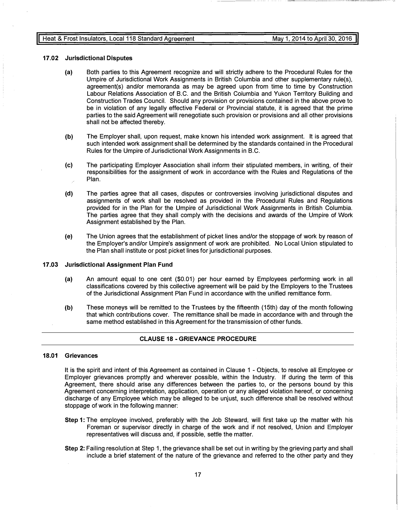#### 17.02 Jurisdictional Disputes

- (a) Both parties to this Agreement recognize and will strictly adhere to the Procedural Rules for the Umpire of Jurisdictional Work Assignments in British Columbia and other supplementary rule(s), agreement(s) and/or memoranda as may be agreed upon from time to time by Construction Labour Relations Association of B.C. and the British Columbia and Yukon Territory Building and Construction Trades Council. Should any provision or provisions contained in the above prove to be in violation of any legally effective Federal or Provincial statute, it is agreed that the prime parties to the said Agreement will renegotiate such provision or provisions and all other provisions shall not be affected thereby.
- (b) The Employer shall, upon request, make known his intended work assignment. It is agreed that such intended work assignment shall be determined by the standards contained in the Procedural Rules for the Umpire of Jurisdictional Work Assignments in B.C.
- (c) The participating Employer Association shall inform their stipulated members, in writing, of their responsibilities for the assignment of work in accordance with the Rules and Regulations of the Plan.
- (d) The parties agree that all cases, disputes or controversies involving jurisdictional disputes and assignments of work shall be resolved as provided in the Procedural Rules and Regulations provided for in the Plan for the Umpire of Jurisdictional Work Assignments in British Columbia. The parties agree that they shall comply with the decisions and awards of the Umpire of Work Assignment established by the Plan.
- (e) The Union agrees that the establishment of picket lines and/or the stoppage of work by reason of the Employer's and/or Umpire's assignment of work are prohibited. No Local Union stipulated to the Plan shall institute or post picket lines for jurisdictional purposes.

#### 17.03 Jurisdictional Assignment Plan Fund

- (a) An amount equal to one cent (\$0.01) per hour earned by Employees performing work in all classifications covered by this collective agreement will be paid by the Employers to the Trustees of the Jurisdictional Assignment Plan Fund in accordance with the unified remittance form.
- (b) These moneys will be remitted to the Trustees by the fifteenth (15th) day of the month following that which contributions cover. The remittance shall be made in accordance with and through the same method established in this Agreement for the transmission of other funds.

#### CLAUSE 18 -GRIEVANCE PROCEDURE

#### 18.01 Grievances

It is the spirit and intent of this Agreement as contained in Clause 1 - Objects, to resolve all Employee or Employer grievances promptly and wherever possible, within the Industry. If during the term of this Agreement, there should arise any differences between the parties to, or the persons bound by this Agreement concerning interpretation, application, operation or any alleged violation hereof, or concerning discharge of any Employee which may be alleged to be unjust, such difference shall be resolved without stoppage of work in the following manner:

- Step 1: The employee involved, preferably with the Job Steward, will first take up the matter with his Foreman or supervisor directly in charge of the work and if not resolved, Union and Employer representatives will discuss and, if possible, settle the matter.
- Step 2: Failing resolution at Step 1, the grievance shall be set out in writing by the grieving party and shall include a brief statement of the nature of the grievance and referred to the other party and they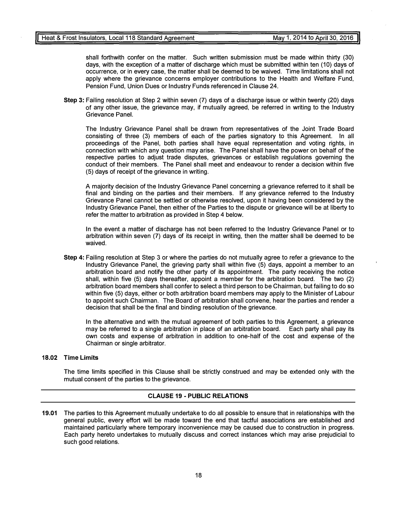shall forthwith confer on the matter. Such written submission must be made within thirty (30) days, with the exception of a matter of discharge which must be submitted within ten (10) days of occurrence, or in every case, the matter shall be deemed to be waived. Time limitations shall not apply where the grievance concerns employer contributions to the Health and Welfare Fund, Pension Fund, Union Dues or Industry Funds referenced in Clause 24.

Step 3: Failing resolution at Step 2 within seven (7) days of a discharge issue or within twenty (20) days of any other issue, the grievance may, if mutually agreed, be referred in writing to the Industry Grievance Panel.

The Industry Grievance Panel shall be drawn from representatives of the Joint Trade Board consisting of three (3) members of each of the parties signatory to this Agreement. In all proceedings of the Panel, both parties shall have equal representation and voting rights, in connection with which any question may arise. The Panel shall have the power on behalf of the respective parties to adjust trade disputes, grievances or establish regulations governing the conduct of their members. The Panel shall meet and endeavour to render a decision within five (5) days of receipt of the grievance in writing.

A majority decision of the Industry Grievance Panel concerning a grievance referred to it shall be final and binding on the parties and their members. If any grievance referred to the Industry Grievance Panel cannot be settled or otherwise resolved, upon it having been considered by the Industry Grievance Panel, then either of the Parties to the dispute or grievance will be at liberty to refer the matter to arbitration as provided in Step 4 below.

In the event a matter of discharge has not been referred to the Industry Grievance Panel or to arbitration within seven (7) days of its receipt in writing, then the matter shall be deemed to be waived.

Step 4: Failing resolution at Step 3 or where the parties do not mutually agree to refer a grievance to the Industry Grievance Panel, the grieving party shall within five (5) days, appoint a member to an arbitration board and notify the other party of its appointment. The party receiving the notice shall, within five (5) days thereafter, appoint a member for the arbitration board. The two (2) arbitration board members shall confer to select a third person to be Chairman, but failing to do so within five (5) days, either or both arbitration board members may apply to the Minister of Labour to appoint such Chairman. The Board of arbitration shall convene, hear the parties and render a decision that shall be the final and binding resolution of the grievance.

In the alternative and with the mutual agreement of both parties to this Agreement, a grievance may be referred to a single arbitration in place of an arbitration board. Each party shall pay its own costs and expense of arbitration in addition to one-half of the cost and expense of the Chairman or single arbitrator.

#### 18.02 Time Limits

The time limits specified in this Clause shall be strictly construed and may be extended only with the mutual consent of the parties to the grievance.

#### CLAUSE 19 - PUBLIC RELATIONS

19.01 The parties to this Agreement mutually undertake to do all possible to ensure that in relationships with the general public, every effort will be made toward the end that tactful associations are established and maintained particularly where temporary inconvenience may be caused due to construction in progress. Each party hereto undertakes to mutually discuss and correct instances which may arise prejudicial to such good relations.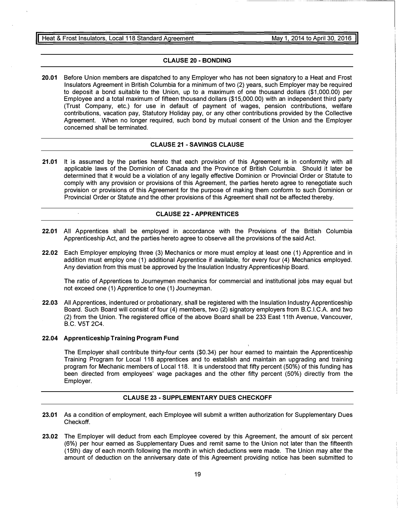#### CLAUSE 20 - BONDING

20.01 Before Union members are dispatched to any Employer who has not been signatory to a Heat and Frost Insulators Agreement in British Columbia for a minimum of two (2) years, such Employer may be required to deposit a bond suitable to the Union, up to a maximum of one thousand dollars (\$1,000.00) per Employee and a total maximum of fifteen thousand dollars (\$15,000.00) with an independent third party (Trust Company, etc.) for use in default of payment of wages, pension contributions, welfare contributions, vacation pay, Statutory Holiday pay, or any other contributions provided by the Collective Agreement. When no longer required, such bond by mutual consent of the Union and the Employer concerned shall be terminated.

#### CLAUSE 21 - SAVINGS CLAUSE

21.01 It is assumed by the parties hereto that each provision of this Agreement is in conformity with all applicable laws of the Dominion of Canada and the Province of British Columbia. Should it later be determined that it would be a violation of any legally effective Dominion or Provincial Order or Statute to comply with any provision or provisions of this Agreement, the parties hereto agree to renegotiate such provision or provisions of this Agreement for the purpose of making them conform to such Dominion or Provincial Order or Statute and the other provisions of this Agreement shall not be affected thereby.

#### CLAUSE 22 - APPRENTICES

- 22.01 All Apprentices shall be employed in accordance with the Provisions of the British Columbia Apprenticeship Act, and the parties hereto agree to observe all the provisions of the said Act.
- 22.02 Each Employer employing three (3) Mechanics or more must employ at least one (1) Apprentice and in addition must employ one (1) additional Apprentice if available, for every four (4) Mechanics employed. Any deviation from this must be approved by the Insulation Industry Apprenticeship Board.

The ratio of Apprentices to Journeymen mechanics for commercial and institutional jobs may equal but not exceed one (1) Apprentice to one (1) Journeyman.

22.03 All Apprentices, indentured or probationary, shall be registered with the Insulation Industry Apprenticeship Board. Such Board will consist of four (4) members, two (2) signatory employers from B.C.l.C.A. and two (2) from the Union. The registered office of the above Board shall be 233 East 11th Avenue, Vancouver, B.C. V5T 2C4.

#### 22.04 Apprenticeship Training Program Fund

 $\ddot{\phantom{a}}$ 

The Employer shall contribute thirty-four cents (\$0.34) per hour earned to maintain the Apprenticeship Training Program for Local 118 apprentices and to establish and maintain an upgrading and training program for Mechanic members of Local 118. It is understood that fifty percent (50%) of this funding has been directed from employees' wage packages and the other fifty percent (50%) directly from the Employer.

#### CLAUSE 23 - SUPPLEMENTARY DUES CHECKOFF

- 23.01 As a condition of employment, each Employee will submit a written authorization for Supplementary Dues Checkoff.
- 23.02 The Employer will deduct from each Employee covered by this Agreement, the amount of six percent (6%) per hour earned as Supplementary Dues and remit same to the Union not later than the fifteenth (15th) day of each month following the month in which deductions were made. The Union may alter the amount of deduction on the anniversary date of this Agreement providing notice has been submitted to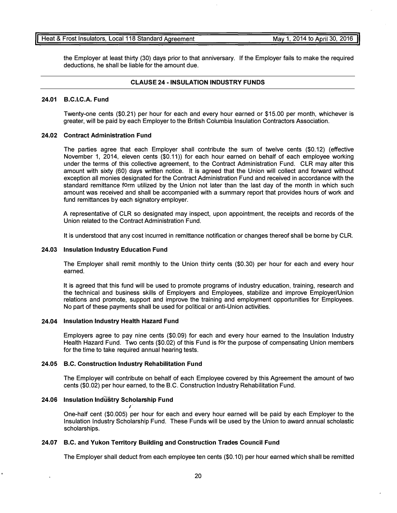It is agreed that this fund will be used to promote programs of industry education, training, research and the technical and business skills of Employers and Employees, stabilize and improve Employer/Union relations and promote, support and improve the training and employment opportunities for Employees. No part of these payments shall be used for political or anti-Union activities.

The Employer shall remit monthly to the Union thirty cents (\$0.30) per hour for each and every hour

#### 24.04 Insulation Industry Health Hazard Fund

24.03 Insulation Industry Education Fund

earned.

Employers agree to pay nine cents (\$0.09) for each and every hour earned to the Insulation Industry Health Hazard Fund. Two cents (\$0.02) of this Fund is for the purpose of compensating Union members for the time to take required annual hearing tests.

#### 24.05 B.C. Construction Industry Rehabilitation Fund

The Employer will contribute on behalf of each Employee covered by this Agreement the amount of two cents (\$0.02) per hour earned, to the B.C. Construction Industry Rehabilitation Fund.

#### 24.06 Insulation Industry Scholarship Fund

One-half cent (\$0.005) per hour for each and every hour earned will be paid by each Employer to the Insulation Industry Scholarship Fund. These Funds will be used by the Union to award annual scholastic scholarships.

#### 24.07 B.C. and Yukon Territory Building and Construction Trades Council Fund

The Employer shall deduct from each employee ten cents (\$0.10) per hour earned which shall be remitted

20

#### Heat & Frost Insulators, Local 118 Standard Agreement May 1, 2014 to April 30, 2016

the Employer at least thirty (30) days prior to that anniversary. If the Employer fails to make the required deductions, he shall be liable for the amount due.

#### CLAUSE 24- INSULATION INDUSTRY FUNDS

#### 24.01 B.C.l.C.A. Fund

Twenty-one cents (\$0.21) per hour for each and every hour earned or \$15.00 per month, whichever is greater, will be paid by each Employer to the British Columbia Insulation Contractors Association.

#### 24.02 Contract Administration Fund

The parties agree that each Employer shall contribute the sum of twelve cents (\$0.12) (effective November 1, 2014, eleven cents (\$0.11)) for each hour earned on behalf of each employee working under the terms of this collective agreement, to the Contract Administration Fund. CLR may alter this amount with sixty (60) days written notice. It is agreed that the Union will collect and forward without exception all monies designated for the Contract Administration Fund and received in accordance with the standard remittance form utilized by the Union not later than the last day of the month in which such amount was received and shall be accompanied with a summary report that provides hours of work and fund remittances by each signatory employer.

A representative of CLR so designated may inspect, upon appointment, the receipts and records of the Union related to the Contract Administration Fund.

It is understood that any cost incurred in remittance notification or changes thereof shall be borne by CLR.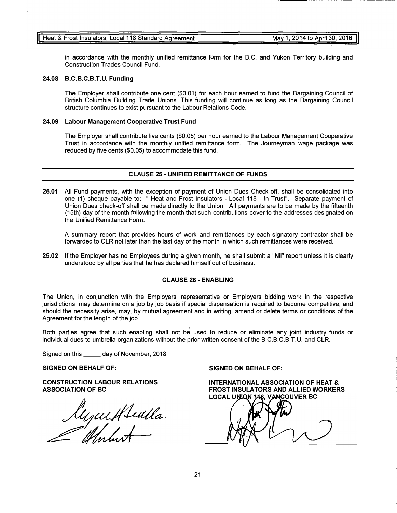in accordance with the monthly unified remittance form for the B.C. and Yukon Territory building and Construction Trades Council Fund.

#### 24.08 B.C.B.C.B.T.U. Funding

The Employer shall contribute one cent (\$0.01) for each hour earned to fund the Bargaining Council of British Columbia Building Trade Unions. This funding will continue as long as the Bargaining Council structure continues to exist pursuant to the Labour Relations Code.

#### 24.09 Labour Management Cooperative Trust Fund

The Employer shall contribute five cents (\$0.05) per hour earned to the Labour Management Cooperative Trust in accordance with the monthly unified remittance form. The Journeyman wage package was reduced by five cents (\$0.05) to accommodate this fund.

#### CLAUSE 25 - UNIFIED REMITTANCE OF FUNDS

25.01 All Fund payments, with the exception of payment of Union Dues Check-off, shall be consolidated into one (1) cheque payable to: " Heat and Frost Insulators - Local 118 - In Trust". Separate payment of Union Dues check-off shall be made directly to the Union. All payments are to be made by the fifteenth (15th) day of the month following the month that such contributions cover to the addresses designated on the Unified Remittance Form.

A summary report that provides hours of work and remittances by each signatory contractor shall be forwarded to CLR not later than the last day of the month in which such remittances were received.

25.02 If the Employer has no Employees during a given month, he shall submit a "Nil" report unless it is clearly understood by all parties that he has declared himself out of business.

#### CLAUSE 26 - ENABLING

The Union, in conjunction with the Employers' representative or Employers bidding work in the respective jurisdictions, may determine on a job by job basis if special dispensation is required to become competitive, and should the necessity arise, may, by mutual agreement and in writing, amend or delete terms or conditions of the Agreement for the length of the job.

Both parties agree that such enabling shall not be used to reduce or eliminate any joint industry funds or individual dues to umbrella organizations without the prior written consent of the B.C.B.C.B.T.U. and CLR.

Signed on this \_\_ day of November, 2018

#### SIGNED ON BEHALF OF:

CONSTRUCTION LABOUR RELATIONS ASSOCIATION OF BC

Mycuffleulla

SIGNED ON BEHALF OF:

INTERNATIONAL ASSOCIATION OF HEAT & FROST INSULATORS AND ALLIED WORKERS LOCAL UNIQN 148, VANCOUVER BC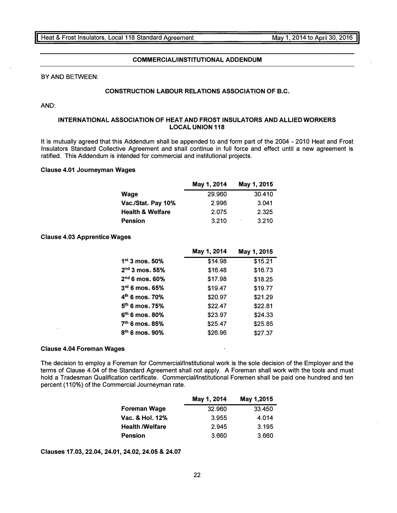#### COMMERCIAUINSTITUTIONAL ADDENDUM

BY AND BETWEEN:

#### CONSTRUCTION LABOUR RELATIONS ASSOCIATION OF B.C.

AND:

#### INTERNATIONAL ASSOCIATION OF HEAT AND FROST INSULATORS AND ALLIED WORKERS LOCAL UNION 118

It is mutually agreed that this Addendum shall be appended to and form part of the 2004 - 2010 Heat and Frost Insulators Standard Collective Agreement and shall continue in full force and effect until a new agreement is ratified. This Addendum is intended for commercial and institutional projects.

#### Clause 4.01 Journeyman Wages

|                             | May 1, 2014 | May 1, 2015 |
|-----------------------------|-------------|-------------|
| Wage                        | 29.960      | 30.410      |
| Vac./Stat. Pay 10%          | 2.996       | 3.041       |
| <b>Health &amp; Welfare</b> | 2.075       | 2.325       |
| <b>Pension</b>              | 3.210       | 3.210       |

#### Clause 4.03 Apprentice Wages

|                            | May 1, 2014 | May 1, 2015 |
|----------------------------|-------------|-------------|
| $1st$ 3 mos. 50%           | \$14.98     | \$15.21     |
| $2nd$ 3 mos. 55%           | \$16.48     | \$16.73     |
| $2nd 6$ mos. 60%           | \$17.98     | \$18.25     |
| $3rd$ 6 mos. 65%           | \$19.47     | \$19.77     |
| $4th$ 6 mos. 70%           | \$20.97     | \$21.29     |
| $5th$ 6 mos. 75%           | \$22.47     | \$22.81     |
| $6th$ 6 mos. 80%           | \$23.97     | \$24.33     |
| 7 <sup>th</sup> 6 mos. 85% | \$25.47     | \$25.85     |
| $8th$ 6 mos. 90%           | \$26.96     | \$27.37     |

#### Clause 4.04 Foreman Wages

The decision to employ a Foreman for Commercial/Institutional work is the sole decision of the Employer and the terms of Clause 4.04 of the Standard Agreement shall not apply. A Foreman shall work with the tools and must hold a Tradesman Qualification certificate. Commercial/Institutional Foremen shall be paid one hundred and ten percent (110%) of the Commercial Journeyman rate.

|                            | May 1, 2014 | May 1,2015 |
|----------------------------|-------------|------------|
| Foreman Wage               | 32.960      | 33.450     |
| <b>Vac. &amp; Hol. 12%</b> | 3.955       | 4.014      |
| <b>Health /Welfare</b>     | 2.945       | 3.195      |
| <b>Pension</b>             | 3.660       | 3.660      |

Clauses 17.03, 22.04, 24.01, 24.02, 24.05 & 24.07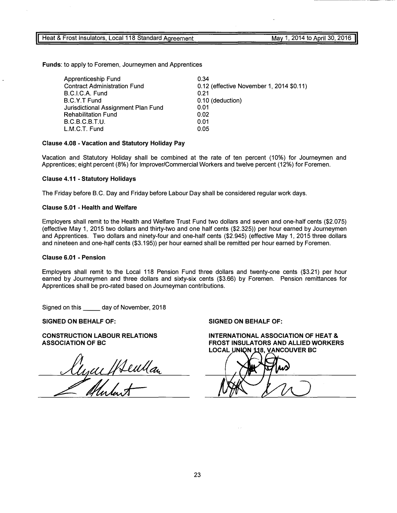Funds: to apply to Foremen, Journeymen and Apprentices

| Apprenticeship Fund                 | 0.34                                     |
|-------------------------------------|------------------------------------------|
| <b>Contract Administration Fund</b> | 0.12 (effective November 1, 2014 \$0.11) |
| B.C.I.C.A. Fund                     | 0.21                                     |
| B.C.Y.T Fund                        | 0.10 (deduction)                         |
| Jurisdictional Assignment Plan Fund | 0.01                                     |
| <b>Rehabilitation Fund</b>          | 0.02                                     |
| B.C.B.C.B.T.U.                      | 0.01                                     |
| L.M.C.T. Fund                       | 0.05                                     |

#### Clause 4.08 - Vacation and Statutory Holiday Pay

Vacation and Statutory Holiday shall be combined at the rate of ten percent (10%) for Journeymen and Apprentices; eight percent (8%) for Improver/Commercial Workers and twelve percent (12%) for Foremen.

#### Clause 4.11 - Statutory Holidays

The Friday before B.C. Day and Friday before Labour Day shall be considered regular work days.

#### Clause 5.01 - Health and Welfare

Employers shall remit to the Health and Welfare Trust Fund two dollars and seven and one-half cents (\$2.075) (effective May 1, 2015 two dollars and thirty-two and one half cents (\$2.325)) per hour earned by Journeymen and Apprentices. Two dollars and ninety-four and one-half cents (\$2.945) (effective May 1, 2015 three dollars and nineteen and one-h�lf cents (\$3.195)) per hour earned shall be remitted per hour earned by Foremen.

#### Clause 6.01 - Pension

Employers shall remit to the Local 118 Pension Fund three dollars and twenty-one cents (\$3.21) per hour earned by Journeymen and three dollars and sixty-six cents (\$3.66) by Foremen. Pension remittances for Apprentices shall be pro-rated based on Journeyman contributions.

Signed on this \_\_\_\_\_\_ day of November, 2018

SIGNED ON BEHALF OF:

CONSTRUCTION LABOUR RELATIONS ASSOCIATION OF BC

Myue Wewllan

SIGNED ON BEHALF OF:

INTERNATIONAL ASSOCIATION OF HEAT & FROST INSULATORS AND ALLIED WORKERS LOCAL UNION 118, VANCOUVER BC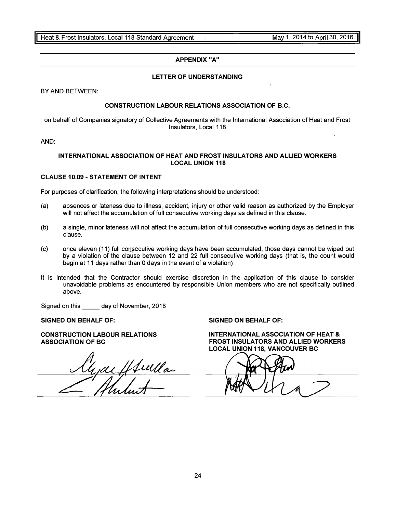#### APPENDIX "A"

#### LETTER OF UNDERSTANDING

BY AND BETWEEN:

#### CONSTRUCTION LABOUR RELATIONS ASSOCIATION OF B.C.

on behalf of Companies signatory of Collective Agreements with the International Association of Heat and Frost Insulators, Local 118

AND:

#### INTERNATIONAL ASSOCIATION OF HEAT AND FROST INSULATORS AND ALLIED WORKERS LOCAL UNION 118

#### CLAUSE 10.09 - STATEMENT OF INTENT

For purposes of clarification, the following interpretations should be understood:

- (a) absences or lateness due to illness, accident, injury or other valid reason as authorized by the Employer will not affect the accumulation of full consecutive working days as defined in this clause.
- (b) a single, minor lateness will not affect the accumulation of full consecutive working days as defined in this clause.
- (c) once eleven (11) full consecutive working days have been accumulated, those days cannot be wiped out by a violation of the clause between 12 and 22 full consecutive working days (that is, the count would begin at 11 days rather than 0 days in the event of a violation)
- It is intended that the Contractor should exercise discretion in the application of this clause to consider unavoidable problems as encountered by responsible Union members who are not specifically outlined above.

Signed on this \_\_ day of November, 2018

SIGNED ON BEHALF OF:

CONSTRUCTION LABOUR RELATIONS ASSOCIATION OF BC

yaefftulla

SIGNED ON BEHALF OF: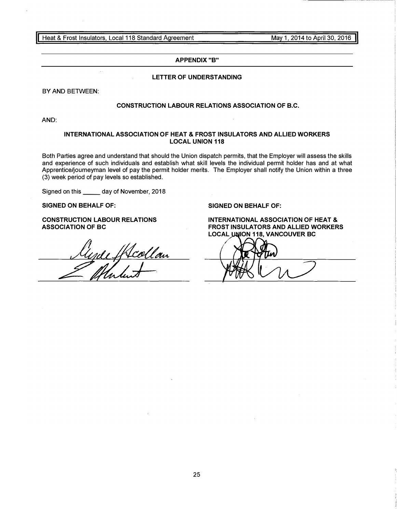$\bar{\mathcal{A}}$  .

#### APPENDIX "B"

#### LETTER OF UNDERSTANDING

BY AND BETWEEN:

#### CONSTRUCTION LABOUR RELATIONS ASSOCIATION OF B.C.

AND:

#### INTERNATIONAL ASSOCIATION OF HEAT & FROST INSULATORS AND ALLIED WORKERS LOCAL UNION 118

Both Parties agree and understand that should the Union dispatch permits, that the Employer will assess the skills and experience of such individuals and establish what skill levels the individual permit holder has and at what Apprentice/journeyman level of pay the permit holder merits. The Employer shall notify the Union within a three (3) week period of pay levels so established.

Signed on this \_\_ day of November, 2018

SIGNED ON BEHALF OF:

CONSTRUCTION LABOUR RELATIONS ASSOCIATION OF BC

rde Skcollan

#### SIGNED ON BEHALF OF: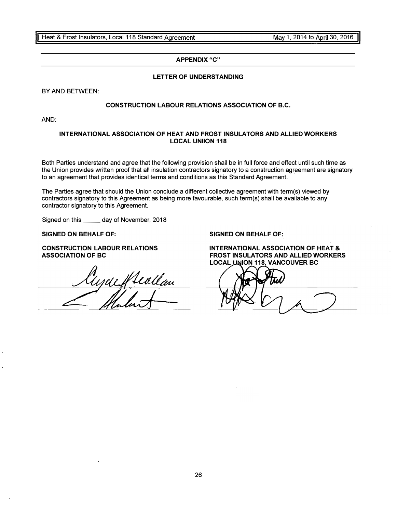#### APPENDIX "C"

#### LETTER OF UNDERSTANDING

BY AND BETWEEN:

### CONSTRUCTION LABOUR RELATIONS ASSOCIATION OF B.C.

AND:

#### INTERNATIONAL ASSOCIATION OF HEAT AND FROST INSULATORS AND ALLIED WORKERS LOCAL UNllON 118

Both Parties understand and agree that the following provision shall be in full force and effect until such time as the Union provides written proof that all insulation contractors signatory to a construction agreement are signatory to an agreement that provides identical terms and conditions as this Standard Agreement. ·

The Parties agree that should the Union conclude a different collective agreement with term(s) viewed by contractors signatory to this Agreement as being more favourable, such term(s) shall be available to any contractor signatory to this Agreement.

Signed on this \_\_\_\_\_\_ day of November, 2018

SIGNED ON BEHALF OF:

CONSTRUCTION LABOUR RELATIONS ASSOCIATION OF BC

yack featlan

SIGNED ON BEHALF OF: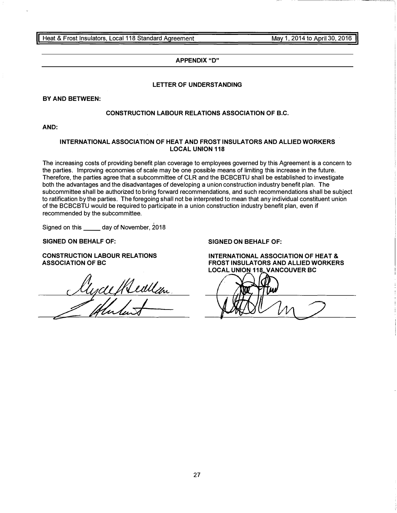#### APPENDIX "D"

#### LETTER OF UNDERSTANDING

#### BY AND BETWEEN:

#### CONSTRUCTION LABOUR RELATIONS ASSOCIATION OF B.C.

AND:

#### INTERNATIONAL ASSOCIATION OF HEAT AND FROST INSULATORS AND ALLIED WORKERS LOCAL UNION 118

The increasing costs of providing benefit plan coverage to employees governed by this Agreement is a concern to the parties. Improving economies of scale may be one possible means of limiting this increase in the future. Therefore, the parties agree that a subcommittee of CLR and the BCBCBTU shall be established to investigate both the advantages and the disadvantages of developing a union construction industry benefit plan. The subcommittee shall be authorized to bring forward recommendations, and such recommendations shall be subject to ratification by the parties. The foregoing shall not be interpreted to mean that any individual constituent union of the BCBCBTU would be required to participate in a union construction industry benefit plan, even if recommended by the subcommittee.

Signed on this day of November, 2018

SIGNED ON BEHALF OF:

CONSTRUCTION LABOUR RELATIONS

ASSOCIATION OF BC<br>Clycleffleullen

SIGNED ON BEHALF OF: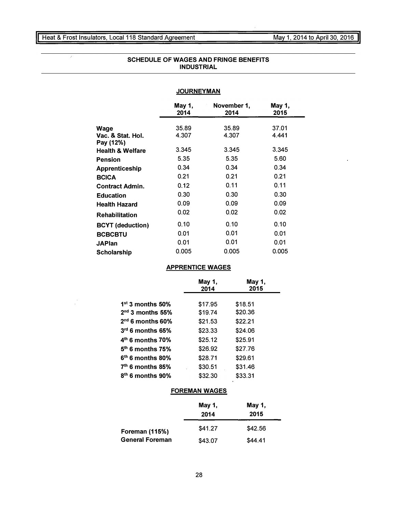May 1, 2014 to April 30, 2016 l

 $\overline{\phantom{a}}$ 

 $\mathcal{A}$ 

 $\frac{1}{\sqrt{2}}$ 

| <b>SCHEDULE OF WAGES AND FRINGE BENEFITS</b> |  |
|----------------------------------------------|--|
| <b>INDUSTRIAL</b>                            |  |

### **JOURNEYMAN**

|                                | May 1,<br>2014 | November 1,<br>2014 | May 1,<br>2015 |
|--------------------------------|----------------|---------------------|----------------|
| Wage                           | 35.89          | 35.89               | 37.01          |
| Vac. & Stat. Hol.<br>Pay (12%) | 4.307          | 4.307               | 4.441          |
| <b>Health &amp; Welfare</b>    | 3.345          | 3.345               | 3.345          |
| <b>Pension</b>                 | 5.35           | 5.35                | 5.60           |
| <b>Apprenticeship</b>          | 0.34           | 0.34                | 0.34           |
| <b>BCICA</b>                   | 0.21           | 0.21                | 0.21           |
| <b>Contract Admin.</b>         | 0.12           | 0.11                | 0.11           |
| <b>Education</b>               | 0.30           | 0.30                | 0.30           |
| <b>Health Hazard</b>           | 0.09           | 0.09                | 0.09           |
| <b>Rehabilitation</b>          | 0.02           | 0.02                | 0.02           |
| <b>BCYT</b> (deduction)        | 0.10           | 0.10                | 0.10           |
| <b>BCBCBTU</b>                 | 0.01           | 0.01                | 0.01           |
| <b>JAPlan</b>                  | 0.01           | 0.01                | 0.01           |
| Scholarship                    | 0.005          | 0.005               | 0.005          |

#### APPRENTICE WAGES

|                    | May 1,<br>2014 | May 1,<br>2015 |
|--------------------|----------------|----------------|
| $1st$ 3 months 50% | \$17.95        | \$18.51        |
| $2nd$ 3 months 55% | \$19.74        | \$20.36        |
| $2nd$ 6 months 60% | \$21.53        | \$22.21        |
| $3rd$ 6 months 65% | \$23.33        | \$24.06        |
| $4th$ 6 months 70% | \$25.12        | \$25.91        |
| $5th$ 6 months 75% | \$26.92        | \$27.76        |
| $6th$ 6 months 80% | \$28.71        | \$29.61        |
| $7th$ 6 months 85% | \$30.51        | \$31.46        |
| $8th$ 6 months 90% | \$32.30        | \$33.31        |
|                    |                |                |

### FOREMAN WAGES

|                        | May 1,<br>2014 | May 1,<br>2015 |
|------------------------|----------------|----------------|
| <b>Foreman (115%)</b>  | \$41.27        | \$42.56        |
| <b>General Foreman</b> | \$43.07        | \$44.41        |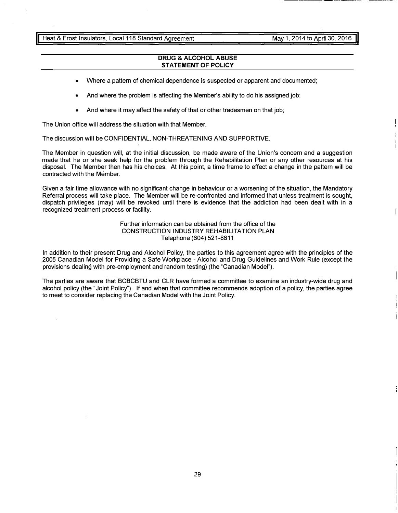Heat & Frost Insulators, Local 118 Standard Agreement

May 1, 2014 to April 30, 2016

#### DRUG & ALCOHOL ABUSE STATEMENT OF POLICY

- Where a pattern of chemical dependence is suspected or apparent and documented;
- And where the problem is affecting the Member's ability to do his assigned job;
- And where it may affect the safety of that or other tradesmen on that job;

The Union office will address the situation with that Member.

The discussion will be CONFIDENTIAL, NON-THREATENING AND SUPPORTIVE.

The Member in question will, at the initial discussion, be made aware of the Union's concern and a suggestion made that he or she seek help for the problem through the Rehabilitation Plan or any other resources at his disposal. The Member then has his choices. At this point, a time frame to effect a change in the pattern will be contracted with the Member.

Given a fair time allowance with no significant change in behaviour or a worsening of the situation, the Mandatory Referral process will take place. The Member will be re-confronted and informed that unless treatment is sought, dispatch privileges (may) will be revoked until there is evidence that the addiction had been dealt with in a recognized treatment process or facility.

> Further information can be obtained from the office of the CONSTRUCTION INDUSTRY REHABILITATION PLAN Telephone (604) 521-8611

In addition to their present Drug and Alcohol Policy, the parties to this agreement agree with the principles of the 2005 Canadian Model for Providing a Safe Workplace - Alcohol and Drug Guidelines and Work Rule (except the provisions dealing with pre-employment and random testing) (the "Canadian Model").

The parties are aware that BCBCBTU and CLR have formed a committee to examine an industry-wide drug and alcohol policy (the "Joint Policy"). If and when that committee recommends adoption of a policy, the parties agree to meet to consider replacing the Canadian Model with the Joint Policy.